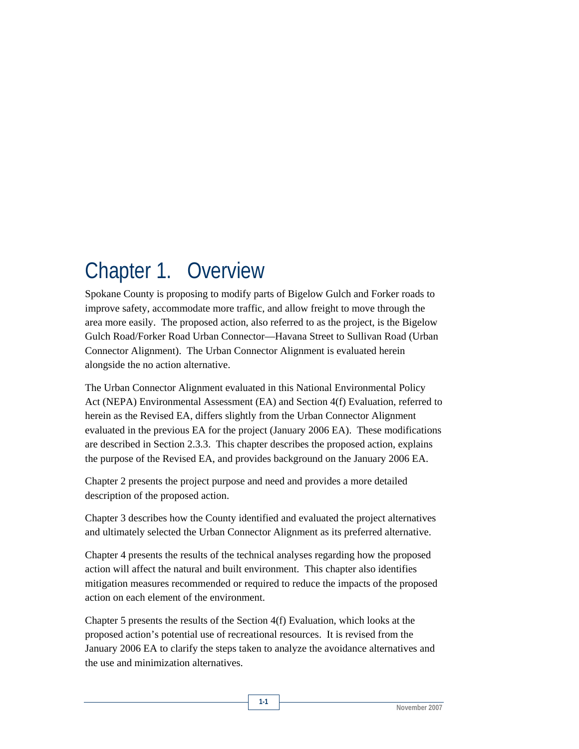# Chapter 1. Overview

Spokane County is proposing to modify parts of Bigelow Gulch and Forker roads to improve safety, accommodate more traffic, and allow freight to move through the area more easily. The proposed action, also referred to as the project, is the Bigelow Gulch Road/Forker Road Urban Connector—Havana Street to Sullivan Road (Urban Connector Alignment). The Urban Connector Alignment is evaluated herein alongside the no action alternative.

The Urban Connector Alignment evaluated in this National Environmental Policy Act (NEPA) Environmental Assessment (EA) and Section 4(f) Evaluation, referred to herein as the Revised EA, differs slightly from the Urban Connector Alignment evaluated in the previous EA for the project (January 2006 EA). These modifications are described in Section 2.3.3. This chapter describes the proposed action, explains the purpose of the Revised EA, and provides background on the January 2006 EA.

Chapter 2 presents the project purpose and need and provides a more detailed description of the proposed action.

Chapter 3 describes how the County identified and evaluated the project alternatives and ultimately selected the Urban Connector Alignment as its preferred alternative.

Chapter 4 presents the results of the technical analyses regarding how the proposed action will affect the natural and built environment. This chapter also identifies mitigation measures recommended or required to reduce the impacts of the proposed action on each element of the environment.

Chapter 5 presents the results of the Section 4(f) Evaluation, which looks at the proposed action's potential use of recreational resources. It is revised from the January 2006 EA to clarify the steps taken to analyze the avoidance alternatives and the use and minimization alternatives.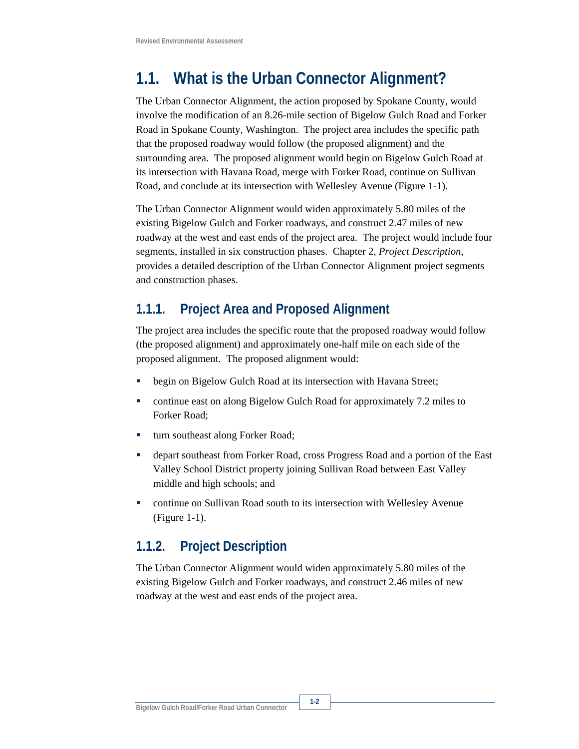## **1.1. What is the Urban Connector Alignment?**

The Urban Connector Alignment, the action proposed by Spokane County, would involve the modification of an 8.26-mile section of Bigelow Gulch Road and Forker Road in Spokane County, Washington. The project area includes the specific path that the proposed roadway would follow (the proposed alignment) and the surrounding area. The proposed alignment would begin on Bigelow Gulch Road at its intersection with Havana Road, merge with Forker Road, continue on Sullivan Road, and conclude at its intersection with Wellesley Avenue (Figure 1-1).

The Urban Connector Alignment would widen approximately 5.80 miles of the existing Bigelow Gulch and Forker roadways, and construct 2.47 miles of new roadway at the west and east ends of the project area. The project would include four segments, installed in six construction phases. Chapter 2, *Project Description*, provides a detailed description of the Urban Connector Alignment project segments and construction phases.

### **1.1.1. Project Area and Proposed Alignment**

The project area includes the specific route that the proposed roadway would follow (the proposed alignment) and approximately one-half mile on each side of the proposed alignment. The proposed alignment would:

- begin on Bigelow Gulch Road at its intersection with Havana Street;
- continue east on along Bigelow Gulch Road for approximately 7.2 miles to Forker Road;
- turn southeast along Forker Road;
- depart southeast from Forker Road, cross Progress Road and a portion of the East Valley School District property joining Sullivan Road between East Valley middle and high schools; and
- continue on Sullivan Road south to its intersection with Wellesley Avenue (Figure 1-1).

#### **1.1.2. Project Description**

The Urban Connector Alignment would widen approximately 5.80 miles of the existing Bigelow Gulch and Forker roadways, and construct 2.46 miles of new roadway at the west and east ends of the project area.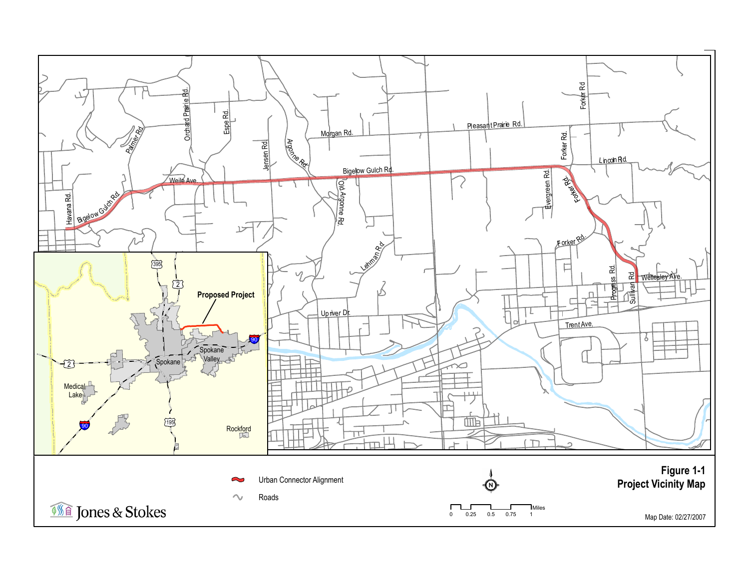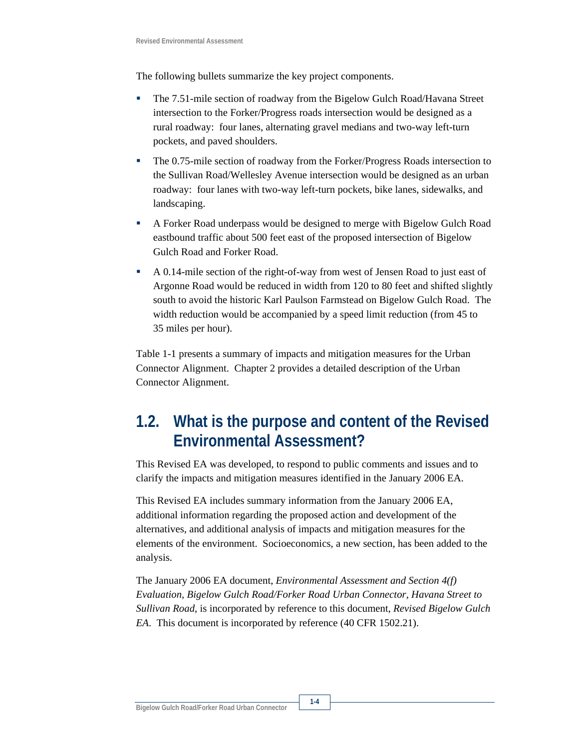The following bullets summarize the key project components.

- The 7.51-mile section of roadway from the Bigelow Gulch Road/Havana Street intersection to the Forker/Progress roads intersection would be designed as a rural roadway: four lanes, alternating gravel medians and two-way left-turn pockets, and paved shoulders.
- The 0.75-mile section of roadway from the Forker/Progress Roads intersection to the Sullivan Road/Wellesley Avenue intersection would be designed as an urban roadway: four lanes with two-way left-turn pockets, bike lanes, sidewalks, and landscaping.
- A Forker Road underpass would be designed to merge with Bigelow Gulch Road eastbound traffic about 500 feet east of the proposed intersection of Bigelow Gulch Road and Forker Road.
- A 0.14-mile section of the right-of-way from west of Jensen Road to just east of Argonne Road would be reduced in width from 120 to 80 feet and shifted slightly south to avoid the historic Karl Paulson Farmstead on Bigelow Gulch Road. The width reduction would be accompanied by a speed limit reduction (from 45 to 35 miles per hour).

Table 1-1 presents a summary of impacts and mitigation measures for the Urban Connector Alignment. Chapter 2 provides a detailed description of the Urban Connector Alignment.

## **1.2. What is the purpose and content of the Revised Environmental Assessment?**

This Revised EA was developed, to respond to public comments and issues and to clarify the impacts and mitigation measures identified in the January 2006 EA.

This Revised EA includes summary information from the January 2006 EA, additional information regarding the proposed action and development of the alternatives, and additional analysis of impacts and mitigation measures for the elements of the environment. Socioeconomics, a new section, has been added to the analysis.

The January 2006 EA document, *Environmental Assessment and Section 4(f) Evaluation, Bigelow Gulch Road/Forker Road Urban Connector, Havana Street to Sullivan Road*, is incorporated by reference to this document, *Revised Bigelow Gulch EA*. This document is incorporated by reference (40 CFR 1502.21).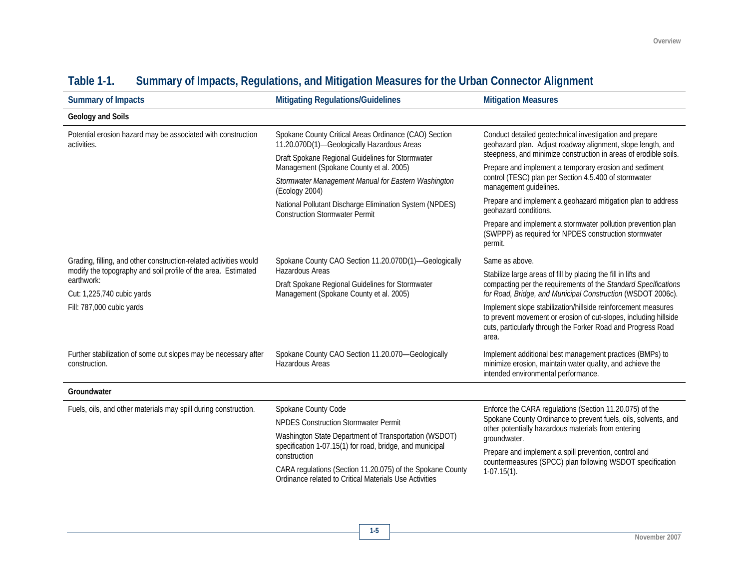| <b>Summary of Impacts</b>                                                                                 | <b>Mitigating Regulations/Guidelines</b>                                                                                                                                                                                                                                                                                                                                        | <b>Mitigation Measures</b>                                                                                                                                                                                                                                                                                                               |  |
|-----------------------------------------------------------------------------------------------------------|---------------------------------------------------------------------------------------------------------------------------------------------------------------------------------------------------------------------------------------------------------------------------------------------------------------------------------------------------------------------------------|------------------------------------------------------------------------------------------------------------------------------------------------------------------------------------------------------------------------------------------------------------------------------------------------------------------------------------------|--|
| Geology and Soils                                                                                         |                                                                                                                                                                                                                                                                                                                                                                                 |                                                                                                                                                                                                                                                                                                                                          |  |
| Potential erosion hazard may be associated with construction<br>activities.                               | Spokane County Critical Areas Ordinance (CAO) Section<br>11.20.070D(1)-Geologically Hazardous Areas<br>Draft Spokane Regional Guidelines for Stormwater<br>Management (Spokane County et al. 2005)<br>Stormwater Management Manual for Eastern Washington<br>(Ecology 2004)<br>National Pollutant Discharge Elimination System (NPDES)<br><b>Construction Stormwater Permit</b> | Conduct detailed geotechnical investigation and prepare<br>geohazard plan. Adjust roadway alignment, slope length, and<br>steepness, and minimize construction in areas of erodible soils.                                                                                                                                               |  |
|                                                                                                           |                                                                                                                                                                                                                                                                                                                                                                                 | Prepare and implement a temporary erosion and sediment<br>control (TESC) plan per Section 4.5.400 of stormwater<br>management guidelines.                                                                                                                                                                                                |  |
|                                                                                                           |                                                                                                                                                                                                                                                                                                                                                                                 | Prepare and implement a geohazard mitigation plan to address<br>geohazard conditions.                                                                                                                                                                                                                                                    |  |
|                                                                                                           |                                                                                                                                                                                                                                                                                                                                                                                 | Prepare and implement a stormwater pollution prevention plan<br>(SWPPP) as required for NPDES construction stormwater<br>permit.                                                                                                                                                                                                         |  |
| Grading, filling, and other construction-related activities would                                         | Spokane County CAO Section 11.20.070D(1)-Geologically<br>Hazardous Areas<br>Draft Spokane Regional Guidelines for Stormwater<br>Management (Spokane County et al. 2005)                                                                                                                                                                                                         | Same as above.                                                                                                                                                                                                                                                                                                                           |  |
| modify the topography and soil profile of the area. Estimated<br>earthwork:<br>Cut: 1,225,740 cubic yards |                                                                                                                                                                                                                                                                                                                                                                                 | Stabilize large areas of fill by placing the fill in lifts and<br>compacting per the requirements of the Standard Specifications<br>for Road, Bridge, and Municipal Construction (WSDOT 2006c).                                                                                                                                          |  |
| Fill: 787,000 cubic yards                                                                                 |                                                                                                                                                                                                                                                                                                                                                                                 | Implement slope stabilization/hillside reinforcement measures<br>to prevent movement or erosion of cut-slopes, including hillside<br>cuts, particularly through the Forker Road and Progress Road<br>area.                                                                                                                               |  |
| Further stabilization of some cut slopes may be necessary after<br>construction.                          | Spokane County CAO Section 11.20.070-Geologically<br>Hazardous Areas                                                                                                                                                                                                                                                                                                            | Implement additional best management practices (BMPs) to<br>minimize erosion, maintain water quality, and achieve the<br>intended environmental performance.                                                                                                                                                                             |  |
| Groundwater                                                                                               |                                                                                                                                                                                                                                                                                                                                                                                 |                                                                                                                                                                                                                                                                                                                                          |  |
| Fuels, oils, and other materials may spill during construction.                                           | Spokane County Code<br><b>NPDES Construction Stormwater Permit</b><br>Washington State Department of Transportation (WSDOT)<br>specification 1-07.15(1) for road, bridge, and municipal<br>construction<br>CARA regulations (Section 11.20.075) of the Spokane County<br>Ordinance related to Critical Materials Use Activities                                                 | Enforce the CARA regulations (Section 11.20.075) of the<br>Spokane County Ordinance to prevent fuels, oils, solvents, and<br>other potentially hazardous materials from entering<br>groundwater.<br>Prepare and implement a spill prevention, control and<br>countermeasures (SPCC) plan following WSDOT specification<br>$1-07.15(1)$ . |  |

### **Table 1-1. Summary of Impacts, Regulations, and Mitigation Measures for the Urban Connector Alignment**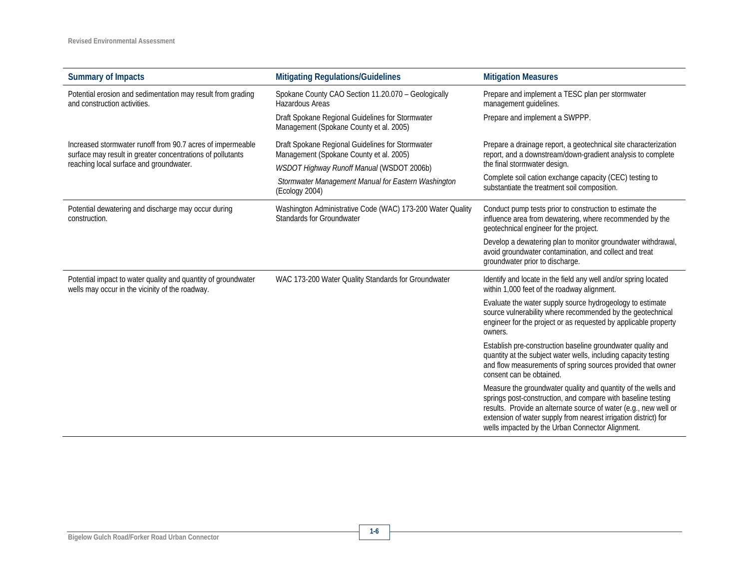| <b>Summary of Impacts</b>                                                                                                | <b>Mitigating Regulations/Guidelines</b>                                                                                                        | <b>Mitigation Measures</b>                                                                                                                                                                                                                                                                                               |
|--------------------------------------------------------------------------------------------------------------------------|-------------------------------------------------------------------------------------------------------------------------------------------------|--------------------------------------------------------------------------------------------------------------------------------------------------------------------------------------------------------------------------------------------------------------------------------------------------------------------------|
| Potential erosion and sedimentation may result from grading<br>and construction activities.                              | Spokane County CAO Section 11.20.070 - Geologically<br>Hazardous Areas                                                                          | Prepare and implement a TESC plan per stormwater<br>management guidelines.                                                                                                                                                                                                                                               |
|                                                                                                                          | Draft Spokane Regional Guidelines for Stormwater<br>Management (Spokane County et al. 2005)                                                     | Prepare and implement a SWPPP.                                                                                                                                                                                                                                                                                           |
| Increased stormwater runoff from 90.7 acres of impermeable<br>surface may result in greater concentrations of pollutants | Draft Spokane Regional Guidelines for Stormwater<br>Management (Spokane County et al. 2005)<br><b>WSDOT Highway Runoff Manual (WSDOT 2006b)</b> | Prepare a drainage report, a geotechnical site characterization<br>report, and a downstream/down-gradient analysis to complete                                                                                                                                                                                           |
| reaching local surface and groundwater.                                                                                  |                                                                                                                                                 | the final stormwater design.                                                                                                                                                                                                                                                                                             |
|                                                                                                                          | Stormwater Management Manual for Eastern Washington<br>(Ecology 2004)                                                                           | Complete soil cation exchange capacity (CEC) testing to<br>substantiate the treatment soil composition.                                                                                                                                                                                                                  |
| Potential dewatering and discharge may occur during<br>construction.                                                     | Washington Administrative Code (WAC) 173-200 Water Quality<br>Standards for Groundwater                                                         | Conduct pump tests prior to construction to estimate the<br>influence area from dewatering, where recommended by the<br>geotechnical engineer for the project.                                                                                                                                                           |
|                                                                                                                          |                                                                                                                                                 | Develop a dewatering plan to monitor groundwater withdrawal,<br>avoid groundwater contamination, and collect and treat<br>groundwater prior to discharge.                                                                                                                                                                |
| Potential impact to water quality and quantity of groundwater<br>wells may occur in the vicinity of the roadway.         | WAC 173-200 Water Quality Standards for Groundwater                                                                                             | Identify and locate in the field any well and/or spring located<br>within 1,000 feet of the roadway alignment.                                                                                                                                                                                                           |
|                                                                                                                          |                                                                                                                                                 | Evaluate the water supply source hydrogeology to estimate<br>source vulnerability where recommended by the geotechnical<br>engineer for the project or as requested by applicable property<br>owners.                                                                                                                    |
|                                                                                                                          |                                                                                                                                                 | Establish pre-construction baseline groundwater quality and<br>quantity at the subject water wells, including capacity testing<br>and flow measurements of spring sources provided that owner<br>consent can be obtained.                                                                                                |
|                                                                                                                          |                                                                                                                                                 | Measure the groundwater quality and quantity of the wells and<br>springs post-construction, and compare with baseline testing<br>results. Provide an alternate source of water (e.g., new well or<br>extension of water supply from nearest irrigation district) for<br>wells impacted by the Urban Connector Alignment. |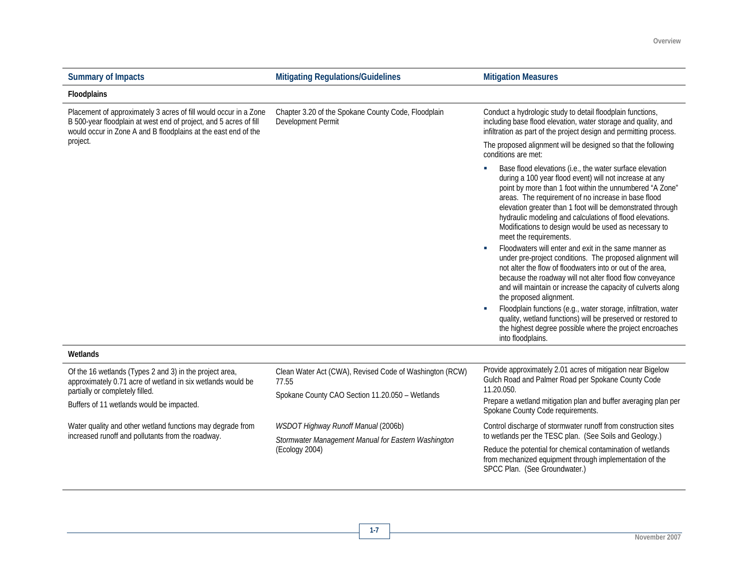| <b>Summary of Impacts</b>                                                                                                                                                                               | <b>Mitigating Regulations/Guidelines</b>                                  | <b>Mitigation Measures</b>                                                                                                                                                                                                                                                                                                                                                                                                                                                                                                                                                                                                                                                                                                                                                                                                                                                                                                                                                                                        |
|---------------------------------------------------------------------------------------------------------------------------------------------------------------------------------------------------------|---------------------------------------------------------------------------|-------------------------------------------------------------------------------------------------------------------------------------------------------------------------------------------------------------------------------------------------------------------------------------------------------------------------------------------------------------------------------------------------------------------------------------------------------------------------------------------------------------------------------------------------------------------------------------------------------------------------------------------------------------------------------------------------------------------------------------------------------------------------------------------------------------------------------------------------------------------------------------------------------------------------------------------------------------------------------------------------------------------|
| Floodplains                                                                                                                                                                                             |                                                                           |                                                                                                                                                                                                                                                                                                                                                                                                                                                                                                                                                                                                                                                                                                                                                                                                                                                                                                                                                                                                                   |
| Placement of approximately 3 acres of fill would occur in a Zone<br>B 500-year floodplain at west end of project, and 5 acres of fill<br>would occur in Zone A and B floodplains at the east end of the | Chapter 3.20 of the Spokane County Code, Floodplain<br>Development Permit | Conduct a hydrologic study to detail floodplain functions,<br>including base flood elevation, water storage and quality, and<br>infiltration as part of the project design and permitting process.                                                                                                                                                                                                                                                                                                                                                                                                                                                                                                                                                                                                                                                                                                                                                                                                                |
| project.                                                                                                                                                                                                |                                                                           | The proposed alignment will be designed so that the following<br>conditions are met:                                                                                                                                                                                                                                                                                                                                                                                                                                                                                                                                                                                                                                                                                                                                                                                                                                                                                                                              |
|                                                                                                                                                                                                         |                                                                           | Base flood elevations (i.e., the water surface elevation<br>during a 100 year flood event) will not increase at any<br>point by more than 1 foot within the unnumbered "A Zone"<br>areas. The requirement of no increase in base flood<br>elevation greater than 1 foot will be demonstrated through<br>hydraulic modeling and calculations of flood elevations.<br>Modifications to design would be used as necessary to<br>meet the requirements.<br>Floodwaters will enter and exit in the same manner as<br>under pre-project conditions. The proposed alignment will<br>not alter the flow of floodwaters into or out of the area,<br>because the roadway will not alter flood flow conveyance<br>and will maintain or increase the capacity of culverts along<br>the proposed alignment.<br>Floodplain functions (e.g., water storage, infiltration, water<br>quality, wetland functions) will be preserved or restored to<br>the highest degree possible where the project encroaches<br>into floodplains. |
| Wetlands                                                                                                                                                                                                |                                                                           |                                                                                                                                                                                                                                                                                                                                                                                                                                                                                                                                                                                                                                                                                                                                                                                                                                                                                                                                                                                                                   |
| Of the 16 wetlands (Types 2 and 3) in the project area,<br>approximately 0.71 acre of wetland in six wetlands would be<br>partially or completely filled.<br>Buffers of 11 wetlands would be impacted.  | Clean Water Act (CWA), Revised Code of Washington (RCW)<br>77.55          | Provide approximately 2.01 acres of mitigation near Bigelow<br>Gulch Road and Palmer Road per Spokane County Code<br>11.20.050.                                                                                                                                                                                                                                                                                                                                                                                                                                                                                                                                                                                                                                                                                                                                                                                                                                                                                   |
|                                                                                                                                                                                                         | Spokane County CAO Section 11.20.050 - Wetlands                           | Prepare a wetland mitigation plan and buffer averaging plan per<br>Spokane County Code requirements.                                                                                                                                                                                                                                                                                                                                                                                                                                                                                                                                                                                                                                                                                                                                                                                                                                                                                                              |
| Water quality and other wetland functions may degrade from<br>increased runoff and pollutants from the roadway.                                                                                         | WSDOT Highway Runoff Manual (2006b)                                       | Control discharge of stormwater runoff from construction sites<br>to wetlands per the TESC plan. (See Soils and Geology.)                                                                                                                                                                                                                                                                                                                                                                                                                                                                                                                                                                                                                                                                                                                                                                                                                                                                                         |
|                                                                                                                                                                                                         | Stormwater Management Manual for Eastern Washington<br>(Ecology 2004)     | Reduce the potential for chemical contamination of wetlands<br>from mechanized equipment through implementation of the<br>SPCC Plan. (See Groundwater.)                                                                                                                                                                                                                                                                                                                                                                                                                                                                                                                                                                                                                                                                                                                                                                                                                                                           |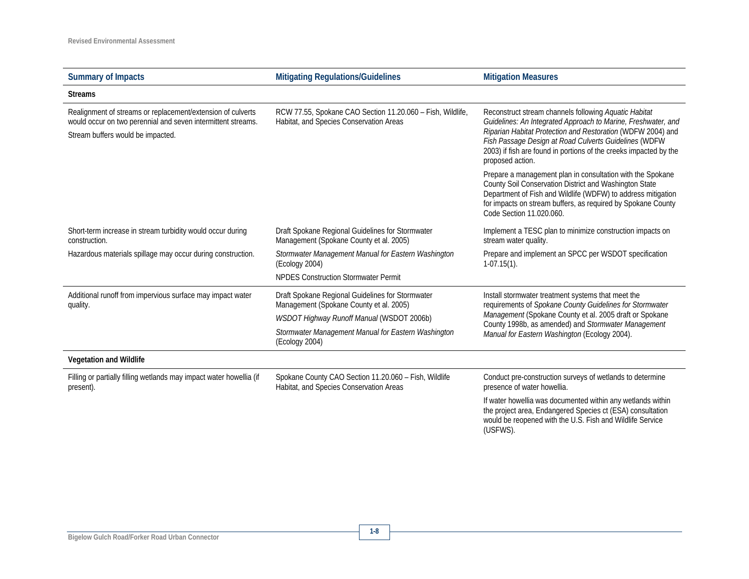| <b>Summary of Impacts</b>                                                                                                                                        | <b>Mitigating Regulations/Guidelines</b><br><b>Mitigation Measures</b>                                                                   |                                                                                                                                                                                                                                                                                                                                         |  |
|------------------------------------------------------------------------------------------------------------------------------------------------------------------|------------------------------------------------------------------------------------------------------------------------------------------|-----------------------------------------------------------------------------------------------------------------------------------------------------------------------------------------------------------------------------------------------------------------------------------------------------------------------------------------|--|
| <b>Streams</b>                                                                                                                                                   |                                                                                                                                          |                                                                                                                                                                                                                                                                                                                                         |  |
| Realignment of streams or replacement/extension of culverts<br>would occur on two perennial and seven intermittent streams.<br>Stream buffers would be impacted. | RCW 77.55, Spokane CAO Section 11.20.060 - Fish, Wildlife,<br>Habitat, and Species Conservation Areas                                    | Reconstruct stream channels following Aquatic Habitat<br>Guidelines: An Integrated Approach to Marine, Freshwater, and<br>Riparian Habitat Protection and Restoration (WDFW 2004) and<br>Fish Passage Design at Road Culverts Guidelines (WDFW<br>2003) if fish are found in portions of the creeks impacted by the<br>proposed action. |  |
|                                                                                                                                                                  |                                                                                                                                          | Prepare a management plan in consultation with the Spokane<br>County Soil Conservation District and Washington State<br>Department of Fish and Wildlife (WDFW) to address mitigation<br>for impacts on stream buffers, as required by Spokane County<br>Code Section 11.020.060.                                                        |  |
| Short-term increase in stream turbidity would occur during<br>construction.                                                                                      | Draft Spokane Regional Guidelines for Stormwater<br>Management (Spokane County et al. 2005)                                              | Implement a TESC plan to minimize construction impacts on<br>stream water quality.                                                                                                                                                                                                                                                      |  |
| Hazardous materials spillage may occur during construction.                                                                                                      | Stormwater Management Manual for Eastern Washington<br>(Ecology 2004)                                                                    | Prepare and implement an SPCC per WSDOT specification<br>$1-07.15(1)$ .                                                                                                                                                                                                                                                                 |  |
|                                                                                                                                                                  | <b>NPDES Construction Stormwater Permit</b>                                                                                              |                                                                                                                                                                                                                                                                                                                                         |  |
| Additional runoff from impervious surface may impact water<br>quality.                                                                                           | Draft Spokane Regional Guidelines for Stormwater<br>Management (Spokane County et al. 2005)<br>WSDOT Highway Runoff Manual (WSDOT 2006b) | Install stormwater treatment systems that meet the<br>requirements of Spokane County Guidelines for Stormwater<br>Management (Spokane County et al. 2005 draft or Spokane                                                                                                                                                               |  |
|                                                                                                                                                                  | Stormwater Management Manual for Eastern Washington<br>(Ecology 2004)                                                                    | County 1998b, as amended) and Stormwater Management<br>Manual for Eastern Washington (Ecology 2004).                                                                                                                                                                                                                                    |  |
| Vegetation and Wildlife                                                                                                                                          |                                                                                                                                          |                                                                                                                                                                                                                                                                                                                                         |  |
| Filling or partially filling wetlands may impact water howellia (if<br>present).                                                                                 | Spokane County CAO Section 11.20.060 - Fish, Wildlife<br>Habitat, and Species Conservation Areas                                         | Conduct pre-construction surveys of wetlands to determine<br>presence of water howellia.                                                                                                                                                                                                                                                |  |
|                                                                                                                                                                  |                                                                                                                                          | If water howellia was documented within any wetlands within<br>the project area, Endangered Species ct (ESA) consultation<br>would be reopened with the U.S. Fish and Wildlife Service<br>(USFWS).                                                                                                                                      |  |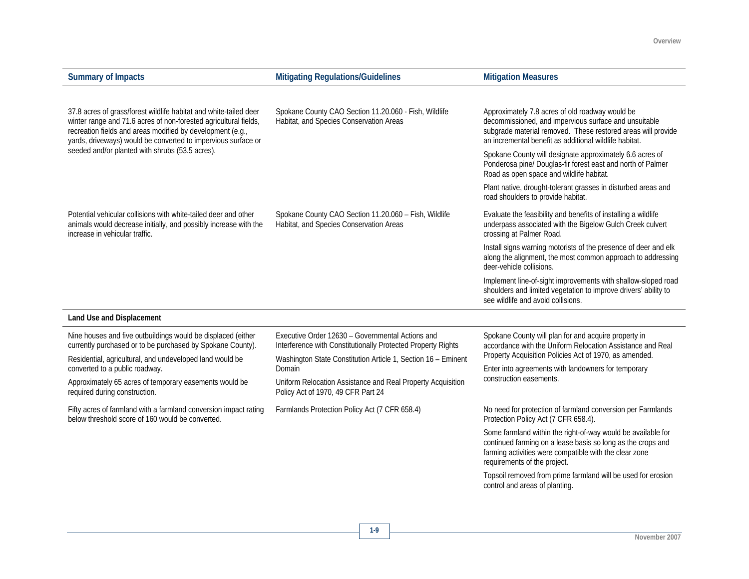| <b>Summary of Impacts</b>                                                                                                                                                                                                                                            | <b>Mitigating Regulations/Guidelines</b>                                                                                                                                          | <b>Mitigation Measures</b>                                                                                                                                                                                                         |
|----------------------------------------------------------------------------------------------------------------------------------------------------------------------------------------------------------------------------------------------------------------------|-----------------------------------------------------------------------------------------------------------------------------------------------------------------------------------|------------------------------------------------------------------------------------------------------------------------------------------------------------------------------------------------------------------------------------|
|                                                                                                                                                                                                                                                                      |                                                                                                                                                                                   |                                                                                                                                                                                                                                    |
| 37.8 acres of grass/forest wildlife habitat and white-tailed deer<br>winter range and 71.6 acres of non-forested agricultural fields,<br>recreation fields and areas modified by development (e.g.,<br>yards, driveways) would be converted to impervious surface or | Spokane County CAO Section 11.20.060 - Fish, Wildlife<br>Habitat, and Species Conservation Areas                                                                                  | Approximately 7.8 acres of old roadway would be<br>decommissioned, and impervious surface and unsuitable<br>subgrade material removed. These restored areas will provide<br>an incremental benefit as additional wildlife habitat. |
| seeded and/or planted with shrubs (53.5 acres).                                                                                                                                                                                                                      |                                                                                                                                                                                   | Spokane County will designate approximately 6.6 acres of<br>Ponderosa pine/ Douglas-fir forest east and north of Palmer<br>Road as open space and wildlife habitat.                                                                |
|                                                                                                                                                                                                                                                                      |                                                                                                                                                                                   | Plant native, drought-tolerant grasses in disturbed areas and<br>road shoulders to provide habitat.                                                                                                                                |
| Potential vehicular collisions with white-tailed deer and other<br>animals would decrease initially, and possibly increase with the<br>increase in vehicular traffic.                                                                                                | Spokane County CAO Section 11.20.060 - Fish, Wildlife<br>Habitat, and Species Conservation Areas                                                                                  | Evaluate the feasibility and benefits of installing a wildlife<br>underpass associated with the Bigelow Gulch Creek culvert<br>crossing at Palmer Road.                                                                            |
|                                                                                                                                                                                                                                                                      |                                                                                                                                                                                   | Install signs warning motorists of the presence of deer and elk<br>along the alignment, the most common approach to addressing<br>deer-vehicle collisions.                                                                         |
|                                                                                                                                                                                                                                                                      |                                                                                                                                                                                   | Implement line-of-sight improvements with shallow-sloped road<br>shoulders and limited vegetation to improve drivers' ability to<br>see wildlife and avoid collisions.                                                             |
| Land Use and Displacement                                                                                                                                                                                                                                            |                                                                                                                                                                                   |                                                                                                                                                                                                                                    |
| Nine houses and five outbuildings would be displaced (either<br>currently purchased or to be purchased by Spokane County).<br>Residential, agricultural, and undeveloped land would be                                                                               | Executive Order 12630 - Governmental Actions and<br>Interference with Constitutionally Protected Property Rights<br>Washington State Constitution Article 1, Section 16 - Eminent | Spokane County will plan for and acquire property in<br>accordance with the Uniform Relocation Assistance and Real<br>Property Acquisition Policies Act of 1970, as amended.                                                       |
| converted to a public roadway.                                                                                                                                                                                                                                       | Domain<br>Uniform Relocation Assistance and Real Property Acquisition<br>Policy Act of 1970, 49 CFR Part 24                                                                       | Enter into agreements with landowners for temporary                                                                                                                                                                                |
| Approximately 65 acres of temporary easements would be<br>required during construction.                                                                                                                                                                              |                                                                                                                                                                                   | construction easements.                                                                                                                                                                                                            |
| Fifty acres of farmland with a farmland conversion impact rating<br>below threshold score of 160 would be converted.                                                                                                                                                 | Farmlands Protection Policy Act (7 CFR 658.4)                                                                                                                                     | No need for protection of farmland conversion per Farmlands<br>Protection Policy Act (7 CFR 658.4).                                                                                                                                |
|                                                                                                                                                                                                                                                                      |                                                                                                                                                                                   | Some farmland within the right-of-way would be available for<br>continued farming on a lease basis so long as the crops and<br>farming activities were compatible with the clear zone<br>requirements of the project.              |
|                                                                                                                                                                                                                                                                      |                                                                                                                                                                                   | Topsoil removed from prime farmland will be used for erosion<br>control and areas of planting.                                                                                                                                     |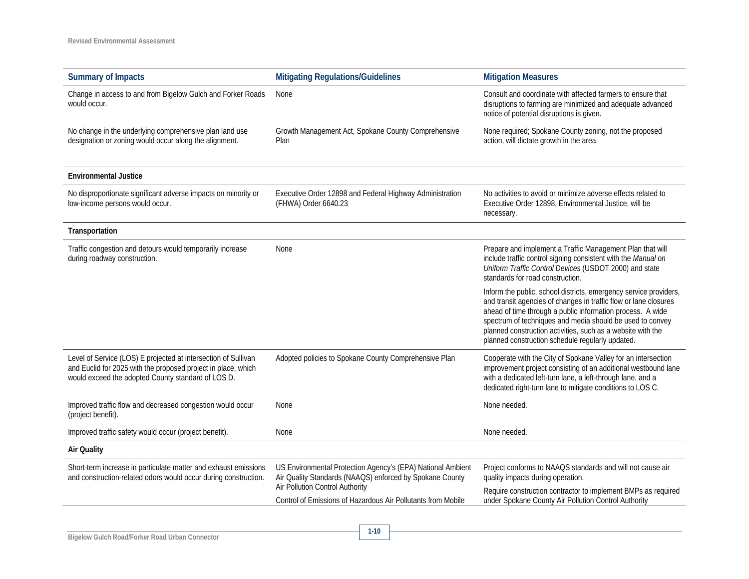| <b>Summary of Impacts</b>                                                                                                                                                             | <b>Mitigating Regulations/Guidelines</b>                                                                                                                          | <b>Mitigation Measures</b>                                                                                                                                                                                                                                                                                                                                                          |  |
|---------------------------------------------------------------------------------------------------------------------------------------------------------------------------------------|-------------------------------------------------------------------------------------------------------------------------------------------------------------------|-------------------------------------------------------------------------------------------------------------------------------------------------------------------------------------------------------------------------------------------------------------------------------------------------------------------------------------------------------------------------------------|--|
| Change in access to and from Bigelow Gulch and Forker Roads<br>would occur.                                                                                                           | None                                                                                                                                                              | Consult and coordinate with affected farmers to ensure that<br>disruptions to farming are minimized and adequate advanced<br>notice of potential disruptions is given.                                                                                                                                                                                                              |  |
| No change in the underlying comprehensive plan land use<br>designation or zoning would occur along the alignment.                                                                     | None required; Spokane County zoning, not the proposed<br>Growth Management Act, Spokane County Comprehensive<br>action, will dictate growth in the area.<br>Plan |                                                                                                                                                                                                                                                                                                                                                                                     |  |
| <b>Environmental Justice</b>                                                                                                                                                          |                                                                                                                                                                   |                                                                                                                                                                                                                                                                                                                                                                                     |  |
| No disproportionate significant adverse impacts on minority or<br>low-income persons would occur.                                                                                     | Executive Order 12898 and Federal Highway Administration<br>(FHWA) Order 6640.23                                                                                  | No activities to avoid or minimize adverse effects related to<br>Executive Order 12898, Environmental Justice, will be<br>necessary.                                                                                                                                                                                                                                                |  |
| Transportation                                                                                                                                                                        |                                                                                                                                                                   |                                                                                                                                                                                                                                                                                                                                                                                     |  |
| Traffic congestion and detours would temporarily increase<br>during roadway construction.                                                                                             | None                                                                                                                                                              | Prepare and implement a Traffic Management Plan that will<br>include traffic control signing consistent with the Manual on<br>Uniform Traffic Control Devices (USDOT 2000) and state<br>standards for road construction.                                                                                                                                                            |  |
|                                                                                                                                                                                       |                                                                                                                                                                   | Inform the public, school districts, emergency service providers,<br>and transit agencies of changes in traffic flow or lane closures<br>ahead of time through a public information process. A wide<br>spectrum of techniques and media should be used to convey<br>planned construction activities, such as a website with the<br>planned construction schedule regularly updated. |  |
| Level of Service (LOS) E projected at intersection of Sullivan<br>and Euclid for 2025 with the proposed project in place, which<br>would exceed the adopted County standard of LOS D. | Adopted policies to Spokane County Comprehensive Plan                                                                                                             | Cooperate with the City of Spokane Valley for an intersection<br>improvement project consisting of an additional westbound lane<br>with a dedicated left-turn lane, a left-through lane, and a<br>dedicated right-turn lane to mitigate conditions to LOS C.                                                                                                                        |  |
| Improved traffic flow and decreased congestion would occur<br>(project benefit).                                                                                                      | None                                                                                                                                                              | None needed.                                                                                                                                                                                                                                                                                                                                                                        |  |
| Improved traffic safety would occur (project benefit).                                                                                                                                | None                                                                                                                                                              | None needed.                                                                                                                                                                                                                                                                                                                                                                        |  |
| <b>Air Quality</b>                                                                                                                                                                    |                                                                                                                                                                   |                                                                                                                                                                                                                                                                                                                                                                                     |  |
| Short-term increase in particulate matter and exhaust emissions<br>and construction-related odors would occur during construction.                                                    | US Environmental Protection Agency's (EPA) National Ambient<br>Air Quality Standards (NAAQS) enforced by Spokane County<br>Air Pollution Control Authority        | Project conforms to NAAQS standards and will not cause air<br>quality impacts during operation.                                                                                                                                                                                                                                                                                     |  |
|                                                                                                                                                                                       | Control of Emissions of Hazardous Air Pollutants from Mobile                                                                                                      | Require construction contractor to implement BMPs as required<br>under Spokane County Air Pollution Control Authority                                                                                                                                                                                                                                                               |  |
|                                                                                                                                                                                       |                                                                                                                                                                   |                                                                                                                                                                                                                                                                                                                                                                                     |  |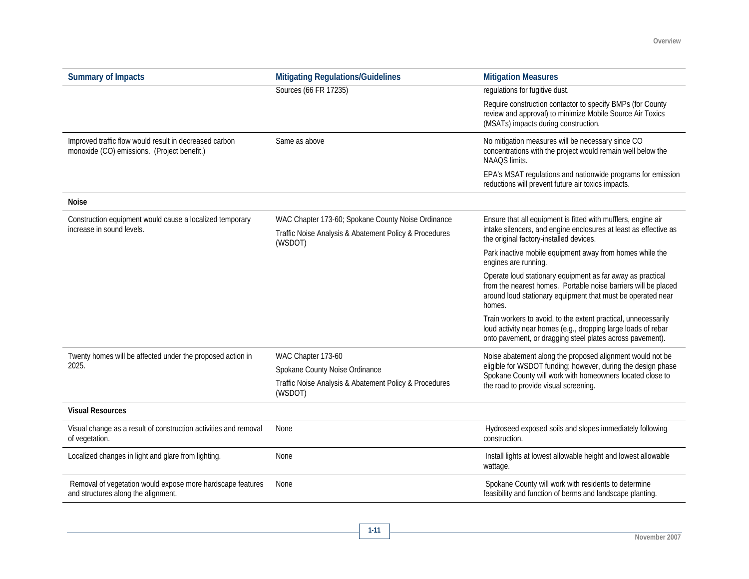| <b>Summary of Impacts</b>                                                                             | <b>Mitigating Regulations/Guidelines</b>                                                                                | <b>Mitigation Measures</b>                                                                                                                                                                            |  |
|-------------------------------------------------------------------------------------------------------|-------------------------------------------------------------------------------------------------------------------------|-------------------------------------------------------------------------------------------------------------------------------------------------------------------------------------------------------|--|
|                                                                                                       | Sources (66 FR 17235)                                                                                                   | regulations for fugitive dust.                                                                                                                                                                        |  |
|                                                                                                       |                                                                                                                         | Require construction contactor to specify BMPs (for County<br>review and approval) to minimize Mobile Source Air Toxics<br>(MSATs) impacts during construction.                                       |  |
| Improved traffic flow would result in decreased carbon<br>monoxide (CO) emissions. (Project benefit.) | Same as above                                                                                                           | No mitigation measures will be necessary since CO<br>concentrations with the project would remain well below the<br>NAAQS limits.                                                                     |  |
|                                                                                                       |                                                                                                                         | EPA's MSAT regulations and nationwide programs for emission<br>reductions will prevent future air toxics impacts.                                                                                     |  |
| <b>Noise</b>                                                                                          |                                                                                                                         |                                                                                                                                                                                                       |  |
| Construction equipment would cause a localized temporary<br>increase in sound levels.                 | WAC Chapter 173-60; Spokane County Noise Ordinance<br>Traffic Noise Analysis & Abatement Policy & Procedures<br>(WSDOT) | Ensure that all equipment is fitted with mufflers, engine air<br>intake silencers, and engine enclosures at least as effective as<br>the original factory-installed devices.                          |  |
|                                                                                                       |                                                                                                                         | Park inactive mobile equipment away from homes while the<br>engines are running.                                                                                                                      |  |
|                                                                                                       |                                                                                                                         | Operate loud stationary equipment as far away as practical<br>from the nearest homes. Portable noise barriers will be placed<br>around loud stationary equipment that must be operated near<br>homes. |  |
|                                                                                                       |                                                                                                                         | Train workers to avoid, to the extent practical, unnecessarily<br>loud activity near homes (e.g., dropping large loads of rebar<br>onto pavement, or dragging steel plates across pavement).          |  |
| Twenty homes will be affected under the proposed action in                                            | WAC Chapter 173-60                                                                                                      | Noise abatement along the proposed alignment would not be                                                                                                                                             |  |
| 2025.                                                                                                 | Spokane County Noise Ordinance                                                                                          | eligible for WSDOT funding; however, during the design phase<br>Spokane County will work with homeowners located close to                                                                             |  |
|                                                                                                       | Traffic Noise Analysis & Abatement Policy & Procedures<br>(WSDOT)                                                       | the road to provide visual screening.                                                                                                                                                                 |  |
| <b>Visual Resources</b>                                                                               |                                                                                                                         |                                                                                                                                                                                                       |  |
| Visual change as a result of construction activities and removal<br>of vegetation.                    | None                                                                                                                    | Hydroseed exposed soils and slopes immediately following<br>construction.                                                                                                                             |  |
| Localized changes in light and glare from lighting.                                                   | None                                                                                                                    | Install lights at lowest allowable height and lowest allowable<br>wattage.                                                                                                                            |  |
| Removal of vegetation would expose more hardscape features<br>and structures along the alignment.     | None                                                                                                                    | Spokane County will work with residents to determine<br>feasibility and function of berms and landscape planting.                                                                                     |  |

**1-11**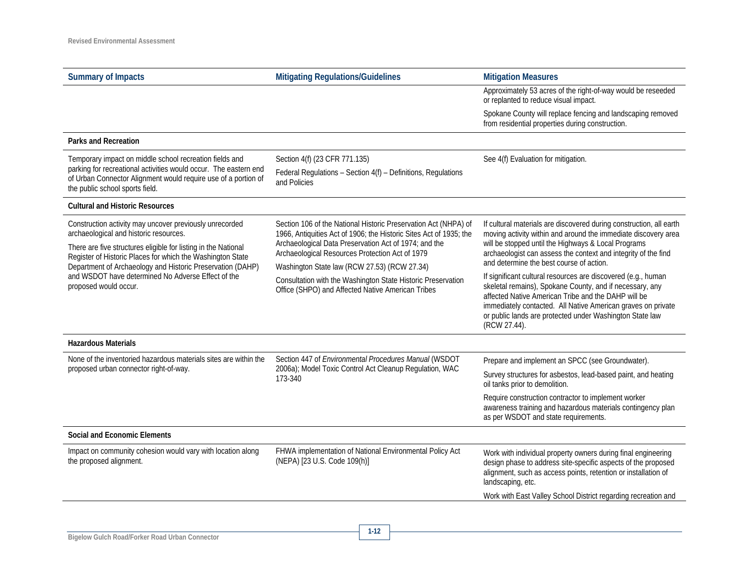| <b>Summary of Impacts</b>                                                                                                                                                                     | <b>Mitigating Regulations/Guidelines</b>                                                                                                                                                       | <b>Mitigation Measures</b>                                                                                                                                                                                            |  |
|-----------------------------------------------------------------------------------------------------------------------------------------------------------------------------------------------|------------------------------------------------------------------------------------------------------------------------------------------------------------------------------------------------|-----------------------------------------------------------------------------------------------------------------------------------------------------------------------------------------------------------------------|--|
|                                                                                                                                                                                               |                                                                                                                                                                                                | Approximately 53 acres of the right-of-way would be reseeded<br>or replanted to reduce visual impact.                                                                                                                 |  |
|                                                                                                                                                                                               |                                                                                                                                                                                                | Spokane County will replace fencing and landscaping removed<br>from residential properties during construction.                                                                                                       |  |
| <b>Parks and Recreation</b>                                                                                                                                                                   |                                                                                                                                                                                                |                                                                                                                                                                                                                       |  |
| Temporary impact on middle school recreation fields and<br>parking for recreational activities would occur. The eastern end<br>of Urban Connector Alignment would require use of a portion of | Section 4(f) (23 CFR 771.135)<br>Federal Regulations - Section 4(f) - Definitions, Regulations                                                                                                 | See 4(f) Evaluation for mitigation.                                                                                                                                                                                   |  |
| the public school sports field.                                                                                                                                                               | and Policies                                                                                                                                                                                   |                                                                                                                                                                                                                       |  |
| <b>Cultural and Historic Resources</b>                                                                                                                                                        |                                                                                                                                                                                                |                                                                                                                                                                                                                       |  |
| Construction activity may uncover previously unrecorded<br>archaeological and historic resources.<br>There are five structures eligible for listing in the National                           | Section 106 of the National Historic Preservation Act (NHPA) of<br>1966, Antiquities Act of 1906; the Historic Sites Act of 1935; the<br>Archaeological Data Preservation Act of 1974; and the | If cultural materials are discovered during construction, all earth<br>moving activity within and around the immediate discovery area<br>will be stopped until the Highways & Local Programs                          |  |
| Register of Historic Places for which the Washington State<br>Department of Archaeology and Historic Preservation (DAHP)                                                                      | Archaeological Resources Protection Act of 1979                                                                                                                                                | archaeologist can assess the context and integrity of the find<br>and determine the best course of action.                                                                                                            |  |
| and WSDOT have determined No Adverse Effect of the<br>proposed would occur.                                                                                                                   | Washington State law (RCW 27.53) (RCW 27.34)<br>Consultation with the Washington State Historic Preservation<br>Office (SHPO) and Affected Native American Tribes                              | If significant cultural resources are discovered (e.g., human<br>skeletal remains), Spokane County, and if necessary, any<br>affected Native American Tribe and the DAHP will be                                      |  |
|                                                                                                                                                                                               |                                                                                                                                                                                                | immediately contacted. All Native American graves on private<br>or public lands are protected under Washington State law<br>(RCW 27.44).                                                                              |  |
| <b>Hazardous Materials</b>                                                                                                                                                                    |                                                                                                                                                                                                |                                                                                                                                                                                                                       |  |
| None of the inventoried hazardous materials sites are within the                                                                                                                              | Section 447 of Environmental Procedures Manual (WSDOT                                                                                                                                          | Prepare and implement an SPCC (see Groundwater).                                                                                                                                                                      |  |
| proposed urban connector right-of-way.                                                                                                                                                        | 2006a); Model Toxic Control Act Cleanup Regulation, WAC<br>173-340                                                                                                                             | Survey structures for asbestos, lead-based paint, and heating<br>oil tanks prior to demolition.                                                                                                                       |  |
|                                                                                                                                                                                               |                                                                                                                                                                                                | Require construction contractor to implement worker<br>awareness training and hazardous materials contingency plan<br>as per WSDOT and state requirements.                                                            |  |
| Social and Economic Elements                                                                                                                                                                  |                                                                                                                                                                                                |                                                                                                                                                                                                                       |  |
| Impact on community cohesion would vary with location along<br>the proposed alignment.                                                                                                        | FHWA implementation of National Environmental Policy Act<br>(NEPA) [23 U.S. Code 109(h)]                                                                                                       | Work with individual property owners during final engineering<br>design phase to address site-specific aspects of the proposed<br>alignment, such as access points, retention or installation of<br>landscaping, etc. |  |
|                                                                                                                                                                                               |                                                                                                                                                                                                | Work with East Valley School District regarding recreation and                                                                                                                                                        |  |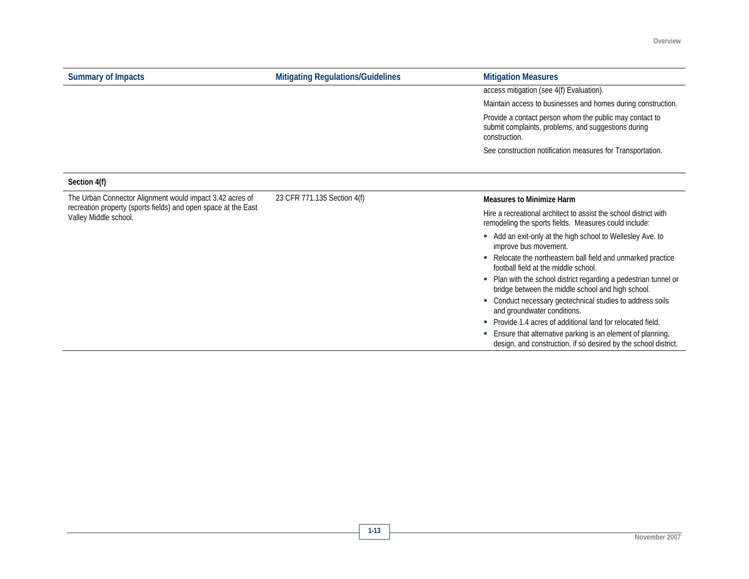| <b>Summary of Impacts</b>                                                                                                                           | <b>Mitigating Regulations/Guidelines</b> | <b>Mitigation Measures</b>                                                                                                         |
|-----------------------------------------------------------------------------------------------------------------------------------------------------|------------------------------------------|------------------------------------------------------------------------------------------------------------------------------------|
|                                                                                                                                                     |                                          | access mitigation (see 4(f) Evaluation).                                                                                           |
|                                                                                                                                                     |                                          | Maintain access to businesses and homes during construction.                                                                       |
|                                                                                                                                                     |                                          | Provide a contact person whom the public may contact to<br>submit complaints, problems, and suggestions during<br>construction.    |
|                                                                                                                                                     |                                          | See construction notification measures for Transportation.                                                                         |
| Section 4(f)                                                                                                                                        |                                          |                                                                                                                                    |
| The Urban Connector Alignment would impact 3.42 acres of<br>recreation property (sports fields) and open space at the East<br>Valley Middle school. | 23 CFR 771.135 Section 4(f)              | <b>Measures to Minimize Harm</b>                                                                                                   |
|                                                                                                                                                     |                                          | Hire a recreational architect to assist the school district with<br>remodeling the sports fields. Measures could include:          |
|                                                                                                                                                     |                                          | Add an exit-only at the high school to Wellesley Ave. to<br>improve bus movement.                                                  |
|                                                                                                                                                     |                                          | Relocate the northeastern ball field and unmarked practice<br>٠<br>football field at the middle school.                            |
|                                                                                                                                                     |                                          | Plan with the school district regarding a pedestrian tunnel or<br>٠<br>bridge between the middle school and high school.           |
|                                                                                                                                                     |                                          | Conduct necessary geotechnical studies to address soils<br>٠<br>and groundwater conditions.                                        |
|                                                                                                                                                     |                                          | • Provide 1.4 acres of additional land for relocated field.                                                                        |
|                                                                                                                                                     |                                          | Ensure that alternative parking is an element of planning,<br>×<br>design, and construction, if so desired by the school district. |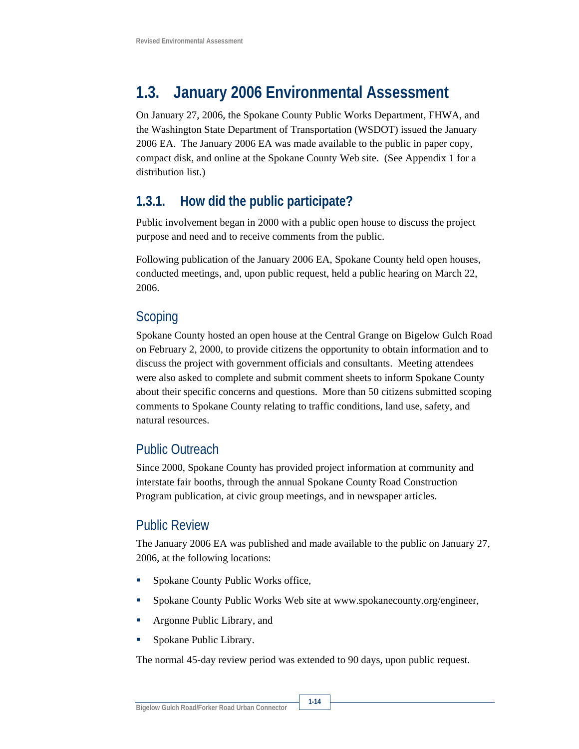## **1.3. January 2006 Environmental Assessment**

On January 27, 2006, the Spokane County Public Works Department, FHWA, and the Washington State Department of Transportation (WSDOT) issued the January 2006 EA. The January 2006 EA was made available to the public in paper copy, compact disk, and online at the Spokane County Web site. (See Appendix 1 for a distribution list.)

#### **1.3.1. How did the public participate?**

Public involvement began in 2000 with a public open house to discuss the project purpose and need and to receive comments from the public.

Following publication of the January 2006 EA, Spokane County held open houses, conducted meetings, and, upon public request, held a public hearing on March 22, 2006.

#### Scoping

Spokane County hosted an open house at the Central Grange on Bigelow Gulch Road on February 2, 2000, to provide citizens the opportunity to obtain information and to discuss the project with government officials and consultants. Meeting attendees were also asked to complete and submit comment sheets to inform Spokane County about their specific concerns and questions. More than 50 citizens submitted scoping comments to Spokane County relating to traffic conditions, land use, safety, and natural resources.

#### Public Outreach

Since 2000, Spokane County has provided project information at community and interstate fair booths, through the annual Spokane County Road Construction Program publication, at civic group meetings, and in newspaper articles.

#### Public Review

The January 2006 EA was published and made available to the public on January 27, 2006, at the following locations:

- Spokane County Public Works office,
- Spokane County Public Works Web site at www.spokanecounty.org/engineer,
- Argonne Public Library, and
- **Spokane Public Library.**

The normal 45-day review period was extended to 90 days, upon public request.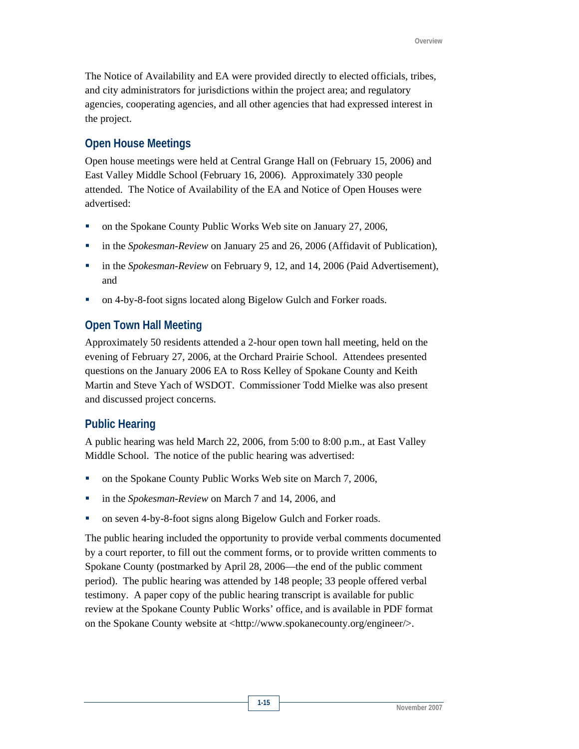The Notice of Availability and EA were provided directly to elected officials, tribes, and city administrators for jurisdictions within the project area; and regulatory agencies, cooperating agencies, and all other agencies that had expressed interest in the project.

#### **Open House Meetings**

Open house meetings were held at Central Grange Hall on (February 15, 2006) and East Valley Middle School (February 16, 2006). Approximately 330 people attended. The Notice of Availability of the EA and Notice of Open Houses were advertised:

- on the Spokane County Public Works Web site on January 27, 2006,
- in the *Spokesman-Review* on January 25 and 26, 2006 (Affidavit of Publication),
- **in the** *Spokesman-Review* on February 9, 12, and 14, 2006 (Paid Advertisement), and
- on 4-by-8-foot signs located along Bigelow Gulch and Forker roads.

#### **Open Town Hall Meeting**

Approximately 50 residents attended a 2-hour open town hall meeting, held on the evening of February 27, 2006, at the Orchard Prairie School. Attendees presented questions on the January 2006 EA to Ross Kelley of Spokane County and Keith Martin and Steve Yach of WSDOT. Commissioner Todd Mielke was also present and discussed project concerns.

#### **Public Hearing**

A public hearing was held March 22, 2006, from 5:00 to 8:00 p.m., at East Valley Middle School. The notice of the public hearing was advertised:

- on the Spokane County Public Works Web site on March 7, 2006,
- **i** in the *Spokesman-Review* on March 7 and 14, 2006, and
- on seven 4-by-8-foot signs along Bigelow Gulch and Forker roads.

The public hearing included the opportunity to provide verbal comments documented by a court reporter, to fill out the comment forms, or to provide written comments to Spokane County (postmarked by April 28, 2006—the end of the public comment period). The public hearing was attended by 148 people; 33 people offered verbal testimony. A paper copy of the public hearing transcript is available for public review at the Spokane County Public Works' office, and is available in PDF format on the Spokane County website at <http://www.spokanecounty.org/engineer/>.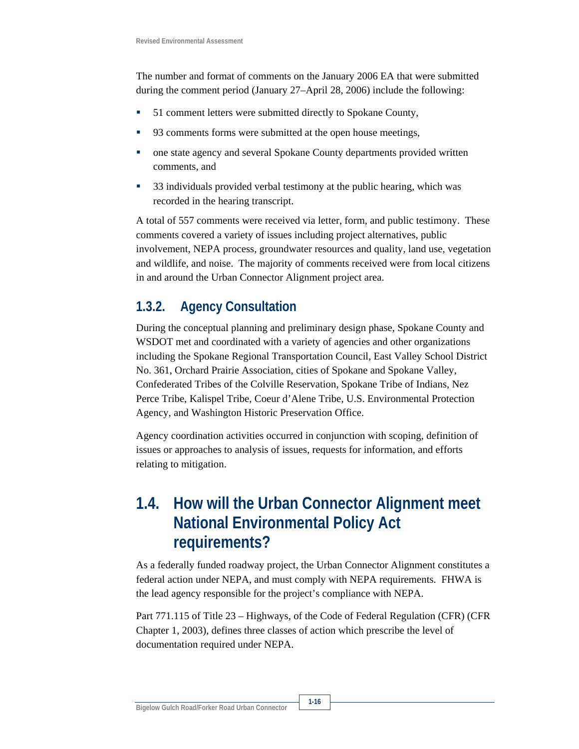The number and format of comments on the January 2006 EA that were submitted during the comment period (January 27–April 28, 2006) include the following:

- 51 comment letters were submitted directly to Spokane County,
- 93 comments forms were submitted at the open house meetings,
- one state agency and several Spokane County departments provided written comments, and
- <sup>33</sup> individuals provided verbal testimony at the public hearing, which was recorded in the hearing transcript.

A total of 557 comments were received via letter, form, and public testimony. These comments covered a variety of issues including project alternatives, public involvement, NEPA process, groundwater resources and quality, land use, vegetation and wildlife, and noise. The majority of comments received were from local citizens in and around the Urban Connector Alignment project area.

#### **1.3.2. Agency Consultation**

During the conceptual planning and preliminary design phase, Spokane County and WSDOT met and coordinated with a variety of agencies and other organizations including the Spokane Regional Transportation Council, East Valley School District No. 361, Orchard Prairie Association, cities of Spokane and Spokane Valley, Confederated Tribes of the Colville Reservation, Spokane Tribe of Indians, Nez Perce Tribe, Kalispel Tribe, Coeur d'Alene Tribe, U.S. Environmental Protection Agency, and Washington Historic Preservation Office.

Agency coordination activities occurred in conjunction with scoping, definition of issues or approaches to analysis of issues, requests for information, and efforts relating to mitigation.

### **1.4. How will the Urban Connector Alignment meet National Environmental Policy Act requirements?**

As a federally funded roadway project, the Urban Connector Alignment constitutes a federal action under NEPA, and must comply with NEPA requirements. FHWA is the lead agency responsible for the project's compliance with NEPA.

Part 771.115 of Title 23 – Highways, of the Code of Federal Regulation (CFR) (CFR Chapter 1, 2003), defines three classes of action which prescribe the level of documentation required under NEPA.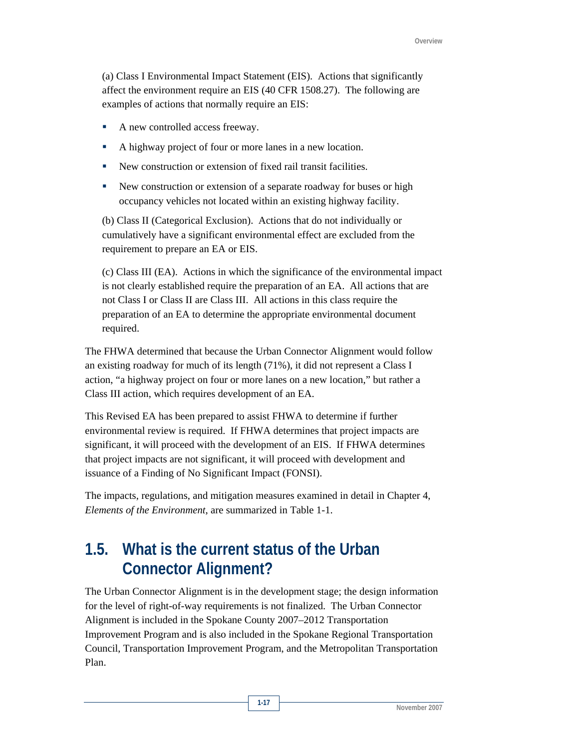(a) Class I Environmental Impact Statement (EIS). Actions that significantly affect the environment require an EIS (40 CFR 1508.27). The following are examples of actions that normally require an EIS:

- A new controlled access freeway.
- A highway project of four or more lanes in a new location.
- New construction or extension of fixed rail transit facilities.
- New construction or extension of a separate roadway for buses or high occupancy vehicles not located within an existing highway facility.

(b) Class II (Categorical Exclusion). Actions that do not individually or cumulatively have a significant environmental effect are excluded from the requirement to prepare an EA or EIS.

(c) Class III (EA). Actions in which the significance of the environmental impact is not clearly established require the preparation of an EA. All actions that are not Class I or Class II are Class III. All actions in this class require the preparation of an EA to determine the appropriate environmental document required.

The FHWA determined that because the Urban Connector Alignment would follow an existing roadway for much of its length (71%), it did not represent a Class I action, "a highway project on four or more lanes on a new location," but rather a Class III action, which requires development of an EA.

This Revised EA has been prepared to assist FHWA to determine if further environmental review is required. If FHWA determines that project impacts are significant, it will proceed with the development of an EIS. If FHWA determines that project impacts are not significant, it will proceed with development and issuance of a Finding of No Significant Impact (FONSI).

The impacts, regulations, and mitigation measures examined in detail in Chapter 4, *Elements of the Environment*, are summarized in Table 1-1.

### **1.5. What is the current status of the Urban Connector Alignment?**

The Urban Connector Alignment is in the development stage; the design information for the level of right-of-way requirements is not finalized. The Urban Connector Alignment is included in the Spokane County 2007–2012 Transportation Improvement Program and is also included in the Spokane Regional Transportation Council, Transportation Improvement Program, and the Metropolitan Transportation Plan.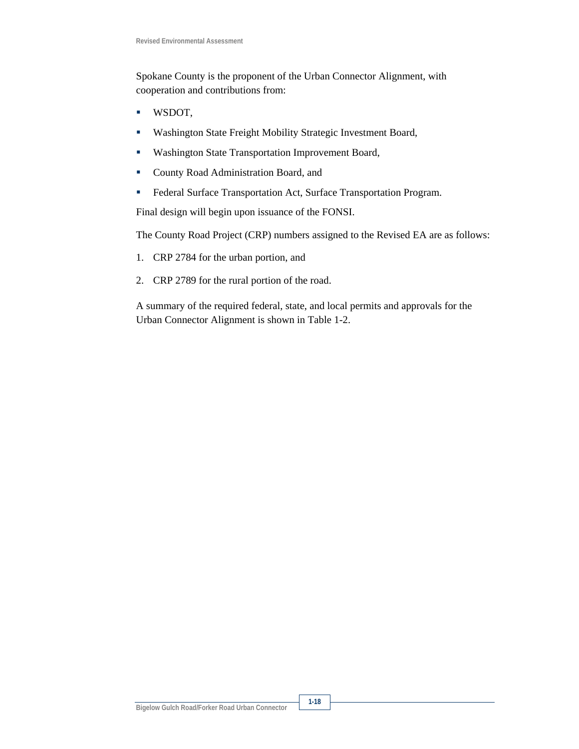Spokane County is the proponent of the Urban Connector Alignment, with cooperation and contributions from:

- WSDOT,
- Washington State Freight Mobility Strategic Investment Board,
- **Washington State Transportation Improvement Board,**
- **County Road Administration Board, and**
- Federal Surface Transportation Act, Surface Transportation Program.

Final design will begin upon issuance of the FONSI.

The County Road Project (CRP) numbers assigned to the Revised EA are as follows:

- 1. CRP 2784 for the urban portion, and
- 2. CRP 2789 for the rural portion of the road.

A summary of the required federal, state, and local permits and approvals for the Urban Connector Alignment is shown in Table 1-2.